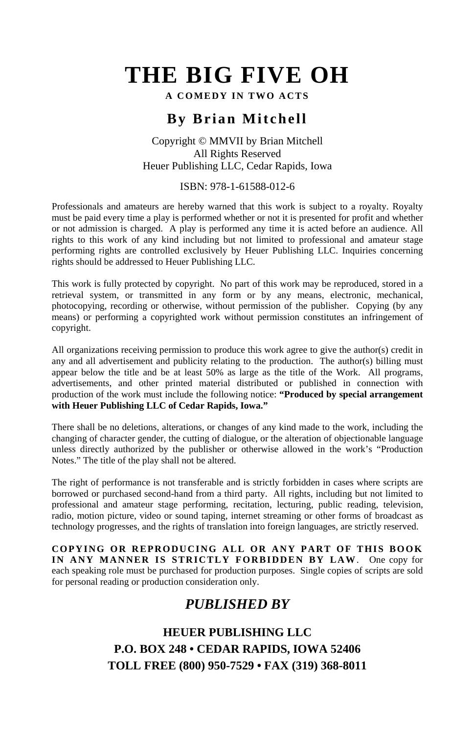**A COMEDY IN TWO ACTS**

# **By Brian Mitchell**

#### Copyright © MMVII by Brian Mitchell All Rights Reserved Heuer Publishing LLC, Cedar Rapids, Iowa

#### ISBN: 978-1-61588-012-6

Professionals and amateurs are hereby warned that this work is subject to a royalty. Royalty must be paid every time a play is performed whether or not it is presented for profit and whether or not admission is charged. A play is performed any time it is acted before an audience. All rights to this work of any kind including but not limited to professional and amateur stage performing rights are controlled exclusively by Heuer Publishing LLC. Inquiries concerning rights should be addressed to Heuer Publishing LLC.

This work is fully protected by copyright. No part of this work may be reproduced, stored in a retrieval system, or transmitted in any form or by any means, electronic, mechanical, photocopying, recording or otherwise, without permission of the publisher. Copying (by any means) or performing a copyrighted work without permission constitutes an infringement of copyright.

All organizations receiving permission to produce this work agree to give the author(s) credit in any and all advertisement and publicity relating to the production. The author(s) billing must appear below the title and be at least 50% as large as the title of the Work. All programs, advertisements, and other printed material distributed or published in connection with production of the work must include the following notice: **"Produced by special arrangement with Heuer Publishing LLC of Cedar Rapids, Iowa."**

There shall be no deletions, alterations, or changes of any kind made to the work, including the changing of character gender, the cutting of dialogue, or the alteration of objectionable language unless directly authorized by the publisher or otherwise allowed in the work's "Production Notes." The title of the play shall not be altered.

The right of performance is not transferable and is strictly forbidden in cases where scripts are borrowed or purchased second-hand from a third party. All rights, including but not limited to professional and amateur stage performing, recitation, lecturing, public reading, television, radio, motion picture, video or sound taping, internet streaming or other forms of broadcast as technology progresses, and the rights of translation into foreign languages, are strictly reserved.

**COPYING OR REPRODUCING ALL OR ANY PART OF THIS BOOK IN ANY MANNER IS STRICTLY FORBIDDEN BY LAW**. One copy for each speaking role must be purchased for production purposes. Single copies of scripts are sold for personal reading or production consideration only.

# *PUBLISHED BY*

## **HEUER PUBLISHING LLC P.O. BOX 248 • CEDAR RAPIDS, IOWA 52406 TOLL FREE (800) 950-7529 • FAX (319) 368-8011**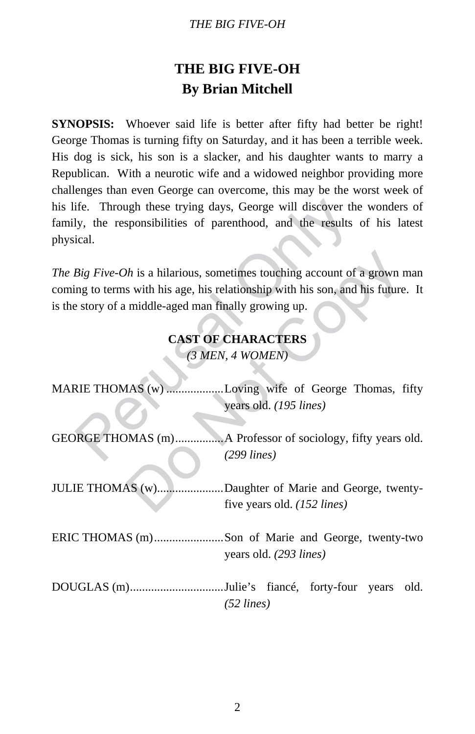# **THE BIG FIVE-OH By Brian Mitchell**

**SYNOPSIS:** Whoever said life is better after fifty had better be right! George Thomas is turning fifty on Saturday, and it has been a terrible week. His dog is sick, his son is a slacker, and his daughter wants to marry a Republican. With a neurotic wife and a widowed neighbor providing more challenges than even George can overcome, this may be the worst week of his life. Through these trying days, George will discover the wonders of family, the responsibilities of parenthood, and the results of his latest physical.

# **CAST OF CHARACTERS**  *(3 MEN, 4 WOMEN)*

| physical.                                                                                                                                                                                                                                                              | his life. Through these trying days, George will discover the wonders of<br>family, the responsibilities of parenthood, and the results of his latest |
|------------------------------------------------------------------------------------------------------------------------------------------------------------------------------------------------------------------------------------------------------------------------|-------------------------------------------------------------------------------------------------------------------------------------------------------|
| The Big Five-Oh is a hilarious, sometimes touching account of a grown man<br>coming to terms with his age, his relationship with his son, and his future. It<br>is the story of a middle-aged man finally growing up.<br><b>CAST OF CHARACTERS</b><br>(3 MEN, 4 WOMEN) |                                                                                                                                                       |
|                                                                                                                                                                                                                                                                        | MARIE THOMAS (w) Loving wife of George Thomas, fifty<br>years old. (195 lines)                                                                        |
|                                                                                                                                                                                                                                                                        | GEORGE THOMAS (m)A Professor of sociology, fifty years old.<br>$(299$ lines)                                                                          |
|                                                                                                                                                                                                                                                                        | JULIE THOMAS (w)Daughter of Marie and George, twenty-<br>five years old. (152 lines)                                                                  |
|                                                                                                                                                                                                                                                                        | ERIC THOMAS (m)Son of Marie and George, twenty-two<br>years old. (293 lines)                                                                          |
|                                                                                                                                                                                                                                                                        | DOUGLAS (m)Julie's fiancé, forty-four years old.<br>$(52 \text{ lines})$                                                                              |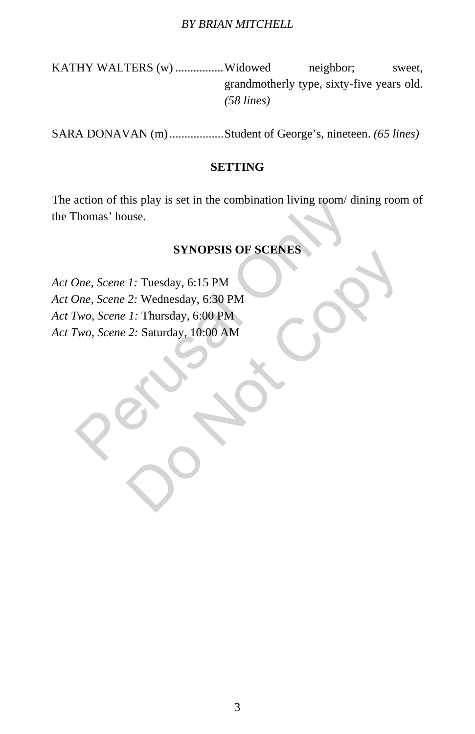KATHY WALTERS (w) ................Widowed neighbor; sweet, grandmotherly type, sixty-five years old. *(58 lines)*

SARA DONAVAN (m)..................Student of George's, nineteen. *(65 lines)*

#### **SETTING**

The action of this play is set in the combination living room/ dining room of the Thomas' house.

## **SYNOPSIS OF SCENES**

action of this play is set in the combination living room/di-<br>
homas' house.<br>
SYNOPSIS OF SCENES<br>
One, Scene 1: Tuesday, 6:15 PM<br>
One, Scene 2: Wednesday, 6:30 PM<br>
Two, Scene 2: Saturday, 10:00 AM<br>
Two, Scene 2: Saturday, STROPSIS OF SCENES<br>
1: Tuesday, 6:15 PM<br>
2: Wednesday, 6:30 PM<br>
2: Saturday, 10:00 AM<br>
2: Saturday, 10:00 AM *Act One, Scene 1:* Tuesday, 6:15 PM *Act One, Scene 2:* Wednesday, 6:30 PM *Act Two, Scene 1:* Thursday, 6:00 PM *Act Two, Scene 2:* Saturday, 10:00 AM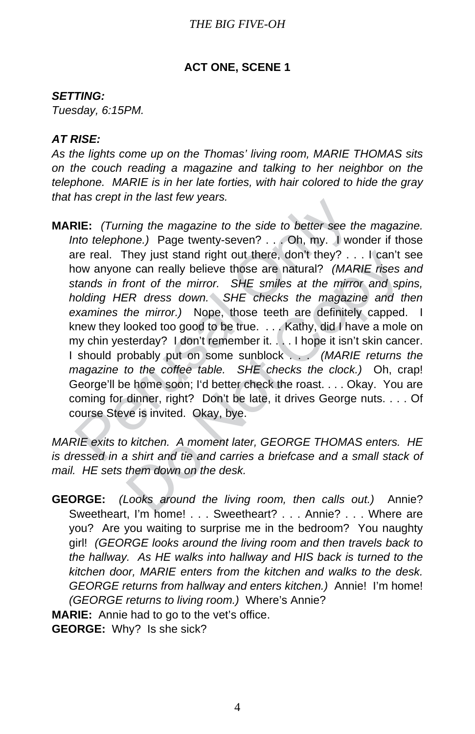#### **ACT ONE, SCENE 1**

#### *SETTING:*

*Tuesday, 6:15PM.* 

#### *AT RISE:*

*As the lights come up on the Thomas' living room, MARIE THOMAS sits on the couch reading a magazine and talking to her neighbor on the telephone. MARIE is in her late forties, with hair colored to hide the gray that has crept in the last few years.* 

RIE: (Turning the magazine to the side to better see the set entro telephone.) Page twenty-seven? ... Oh, my. I wore real. They just stand right out there, don't they? ... on the real. They just stand right out there, don They just stand right out there, don't they? . . . I can't se can really believe those are natural? (*MARIE rises a* front of the mirror. SHE smiles at the mirror and sp. FR dress down. SHE checks the magazine and the mirr **MARIE:** *(Turning the magazine to the side to better see the magazine. Into telephone.)* Page twenty-seven? . . . Oh, my. I wonder if those are real. They just stand right out there, don't they? . . . I can't see how anyone can really believe those are natural? *(MARIE rises and stands in front of the mirror. SHE smiles at the mirror and spins, holding HER dress down. SHE checks the magazine and then examines the mirror.)* Nope, those teeth are definitely capped. I knew they looked too good to be true. . . . Kathy, did I have a mole on my chin yesterday? I don't remember it. . . . I hope it isn't skin cancer. I should probably put on some sunblock . . . *(MARIE returns the magazine to the coffee table. SHE checks the clock.)* Oh, crap! George'll be home soon; I'd better check the roast. . . . Okay. You are coming for dinner, right? Don't be late, it drives George nuts. . . . Of course Steve is invited. Okay, bye.

*MARIE exits to kitchen. A moment later, GEORGE THOMAS enters. HE is dressed in a shirt and tie and carries a briefcase and a small stack of mail. HE sets them down on the desk.*

**GEORGE:** *(Looks around the living room, then calls out.)* Annie? Sweetheart, I'm home! . . . Sweetheart? . . . Annie? . . . Where are you? Are you waiting to surprise me in the bedroom? You naughty girl! *(GEORGE looks around the living room and then travels back to the hallway. As HE walks into hallway and HIS back is turned to the kitchen door, MARIE enters from the kitchen and walks to the desk. GEORGE returns from hallway and enters kitchen.)* Annie! I'm home! *(GEORGE returns to living room.)* Where's Annie?

**MARIE:** Annie had to go to the vet's office.

**GEORGE:** Why? Is she sick?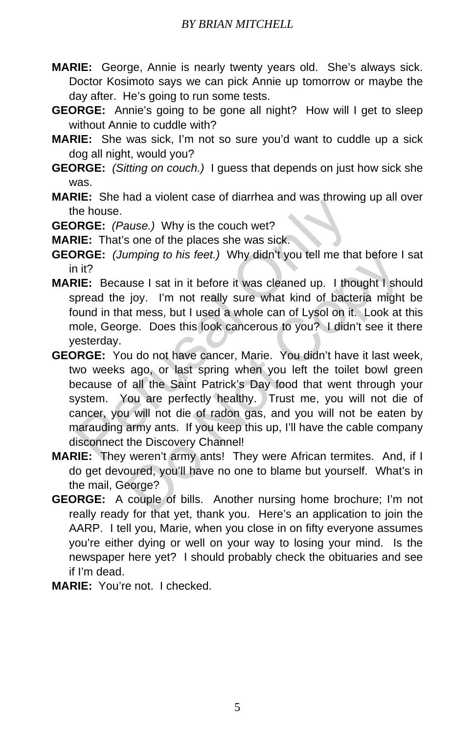- **MARIE:** George, Annie is nearly twenty years old. She's always sick. Doctor Kosimoto says we can pick Annie up tomorrow or maybe the day after. He's going to run some tests.
- **GEORGE:** Annie's going to be gone all night? How will I get to sleep without Annie to cuddle with?
- **MARIE:** She was sick, I'm not so sure you'd want to cuddle up a sick dog all night, would you?
- **GEORGE:** *(Sitting on couch.)* I guess that depends on just how sick she was.
- **MARIE:** She had a violent case of diarrhea and was throwing up all over the house.
- **GEORGE:** *(Pause.)* Why is the couch wet?
- **MARIE:** That's one of the places she was sick.
- **GEORGE:** *(Jumping to his feet.)* Why didn't you tell me that before I sat in it?
- **MARIE:** Because I sat in it before it was cleaned up. I thought I should spread the joy. I'm not really sure what kind of bacteria might be found in that mess, but I used a whole can of Lysol on it. Look at this mole, George. Does this look cancerous to you? I didn't see it there yesterday.
- ne house.<br>
NRGE: (Pause.) Why is the couch wet?<br>
NRGE: (Pause.) Why is the couch wet?<br>
NRGE: (Jumping to his feet.) Why didn't you tell me than it?<br>
NRGE: (Jumping to his feet.) Why didn't you tell me than it?<br>
NRGE: Becau umping to his feet.) Why didn't you tell me that before I<br>use I sat in it before it was cleaned up. I thought I sho<br>joy. I'm not really sure what kind of bacteria might<br>at mess, but I used a whole can of Lysol on it. Look **GEORGE:** You do not have cancer, Marie. You didn't have it last week, two weeks ago, or last spring when you left the toilet bowl green because of all the Saint Patrick's Day food that went through your system. You are perfectly healthy. Trust me, you will not die of cancer, you will not die of radon gas, and you will not be eaten by marauding army ants. If you keep this up, I'll have the cable company disconnect the Discovery Channel!
- **MARIE:** They weren't army ants! They were African termites. And, if I do get devoured, you'll have no one to blame but yourself. What's in the mail, George?
- **GEORGE:** A couple of bills. Another nursing home brochure; I'm not really ready for that yet, thank you. Here's an application to join the AARP. I tell you, Marie, when you close in on fifty everyone assumes you're either dying or well on your way to losing your mind. Is the newspaper here yet? I should probably check the obituaries and see if I'm dead.
- **MARIE:** You're not. I checked.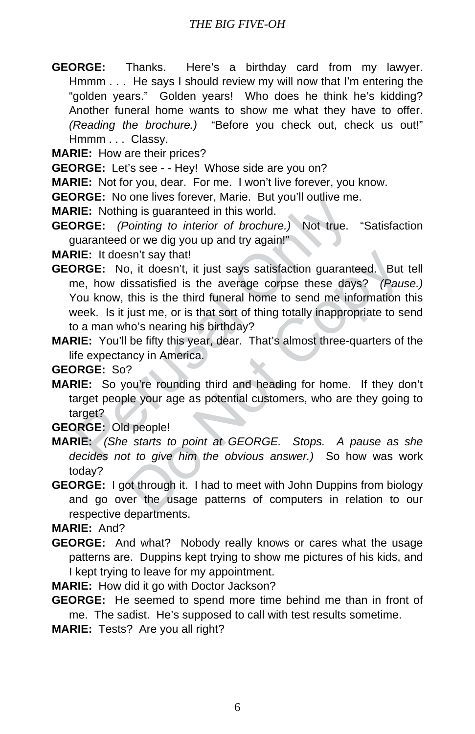- **GEORGE:** Thanks. Here's a birthday card from my lawyer. Hmmm . . . He says I should review my will now that I'm entering the "golden years." Golden years! Who does he think he's kidding? Another funeral home wants to show me what they have to offer. *(Reading the brochure.)* "Before you check out, check us out!" Hmmm . . . Classy.
- **MARIE:** How are their prices?
- **GEORGE:** Let's see - Hey! Whose side are you on?
- **MARIE:** Not for you, dear. For me. I won't live forever, you know.
- **GEORGE:** No one lives forever, Marie. But you'll outlive me.
- **MARIE:** Nothing is guaranteed in this world.
- **GEORGE:** *(Pointing to interior of brochure.)* Not true. "Satisfaction guaranteed or we dig you up and try again!"

**MARIE:** It doesn't say that!

- **EXECT:** No one lives identify to interior of brochure. During its guaranteed in this world.<br> **REE:** Nothing is guaranteed in this world.<br> **REE:** (*Pointing to interior of brochure.*) Not true.<br> **REE:** It doesn't say that<br> Son't say that!<br>
So, it doesn't, it just says satisfaction guaranteed. But<br>
lissatisfied is the average corpse these days? (Paus<br>
this is the third funeral home to send me information<br>
just me, or is that sort of thing tot **GEORGE:** No, it doesn't, it just says satisfaction guaranteed. But tell me, how dissatisfied is the average corpse these days? *(Pause.)* You know, this is the third funeral home to send me information this week. Is it just me, or is that sort of thing totally inappropriate to send to a man who's nearing his birthday?
- **MARIE:** You'll be fifty this year, dear. That's almost three-quarters of the life expectancy in America.

**GEORGE:** So?

**MARIE:** So you're rounding third and heading for home. If they don't target people your age as potential customers, who are they going to target?

**GEORGE:** Old people!

- **MARIE:** *(She starts to point at GEORGE. Stops. A pause as she decides not to give him the obvious answer.)* So how was work today?
- **GEORGE:** I got through it. I had to meet with John Duppins from biology and go over the usage patterns of computers in relation to our respective departments.

**MARIE:** And?

**GEORGE:** And what? Nobody really knows or cares what the usage patterns are. Duppins kept trying to show me pictures of his kids, and I kept trying to leave for my appointment.

**MARIE:** How did it go with Doctor Jackson?

- **GEORGE:** He seemed to spend more time behind me than in front of me. The sadist. He's supposed to call with test results sometime.
- **MARIE:** Tests? Are you all right?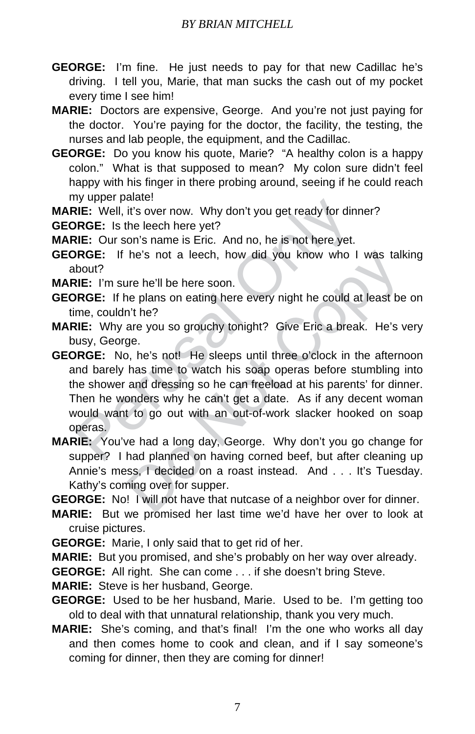**GEORGE:** I'm fine. He just needs to pay for that new Cadillac he's driving. I tell you, Marie, that man sucks the cash out of my pocket every time I see him!

**MARIE:** Doctors are expensive, George. And you're not just paying for the doctor. You're paying for the doctor, the facility, the testing, the nurses and lab people, the equipment, and the Cadillac.

**GEORGE:** Do you know his quote, Marie? "A healthy colon is a happy colon." What is that supposed to mean? My colon sure didn't feel happy with his finger in there probing around, seeing if he could reach my upper palate!

**MARIE:** Well, it's over now. Why don't you get ready for dinner?

**GEORGE:** Is the leech here yet?

**MARIE:** Our son's name is Eric. And no, he is not here yet.

**GEORGE:** If he's not a leech, how did you know who I was talking about?

**MARIE:** I'm sure he'll be here soon.

- **GEORGE:** If he plans on eating here every night he could at least be on time, couldn't he?
- **MARIE:** Why are you so grouchy tonight? Give Eric a break. He's very busy, George.

The Wallstown My don't you get ready for din<br>
NRGE: Well, it's over now. Why don't you get ready for din<br>
NRGE: Is the leech here yet?<br>
NRGE: If he's not a leech, how did you know who I<br>
bout?<br>
NRGE: If he's not a leech, h he's not a leech, how did you know who I was talk<br>the he'll be here soon.<br>The pairs on eating here every night he could at least be<br>n't he?<br>are you so grouchy tonight? Give Eric a break. He's v<br>ge.<br>b, he's not! He sleeps u **GEORGE:** No, he's not! He sleeps until three o'clock in the afternoon and barely has time to watch his soap operas before stumbling into the shower and dressing so he can freeload at his parents' for dinner. Then he wonders why he can't get a date. As if any decent woman would want to go out with an out-of-work slacker hooked on soap operas.

**MARIE:** You've had a long day, George. Why don't you go change for supper? I had planned on having corned beef, but after cleaning up Annie's mess, I decided on a roast instead. And . . . It's Tuesday. Kathy's coming over for supper.

**GEORGE:** No! I will not have that nutcase of a neighbor over for dinner.

**MARIE:** But we promised her last time we'd have her over to look at cruise pictures.

**GEORGE:** Marie, I only said that to get rid of her.

**MARIE:** But you promised, and she's probably on her way over already.

**GEORGE:** All right. She can come . . . if she doesn't bring Steve.

**MARIE:** Steve is her husband, George.

**GEORGE:** Used to be her husband, Marie. Used to be. I'm getting too old to deal with that unnatural relationship, thank you very much.

**MARIE:** She's coming, and that's final! I'm the one who works all day and then comes home to cook and clean, and if I say someone's coming for dinner, then they are coming for dinner!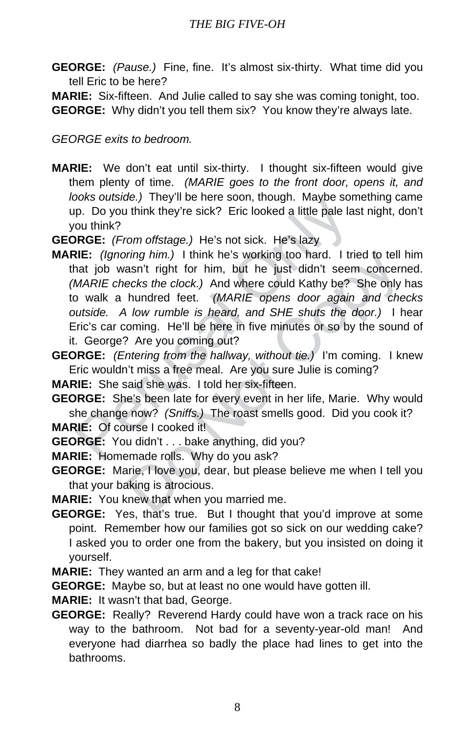**GEORGE:** *(Pause.)* Fine, fine. It's almost six-thirty. What time did you tell Eric to be here?

**MARIE:** Six-fifteen. And Julie called to say she was coming tonight, too. **GEORGE:** Why didn't you tell them six? You know they're always late.

*GEORGE exits to bedroom.*

- **MARIE:** We don't eat until six-thirty. I thought six-fifteen would give them plenty of time. *(MARIE goes to the front door, opens it, and looks outside.)* They'll be here soon, though. Maybe something came up. Do you think they're sick? Eric looked a little pale last night, don't you think?
- **GEORGE:** *(From offstage.)* He's not sick. He's lazy
- be the solit, indign: maybe some price of the pair of the pair of the pair of the pair of the pair of the set of the set of the set of the set of the set of the set of the set of the set of the set of the set of the set of ring him.) I think he's working too hard. I tried to tell lasn't right for him, but he just didn't seem concernecks the clock.) And where could Kathy be? She only l<br>hundred feet. (*MARIE* opens door again and che<br>low rumb **MARIE:** *(Ignoring him.)* I think he's working too hard. I tried to tell him that job wasn't right for him, but he just didn't seem concerned. *(MARIE checks the clock.)* And where could Kathy be? She only has to walk a hundred feet. *(MARIE opens door again and checks outside. A low rumble is heard, and SHE shuts the door.)* I hear Eric's car coming. He'll be here in five minutes or so by the sound of it. George? Are you coming out?
- **GEORGE:** *(Entering from the hallway, without tie.)* I'm coming. I knew Eric wouldn't miss a free meal. Are you sure Julie is coming?

**MARIE:** She said she was. I told her six-fifteen.

**GEORGE:** She's been late for every event in her life, Marie. Why would she change now? *(Sniffs.)* The roast smells good. Did you cook it?

**MARIE:** Of course I cooked it!

**GEORGE:** You didn't . . . bake anything, did you?

**MARIE:** Homemade rolls. Why do you ask?

**GEORGE:** Marie, I love you, dear, but please believe me when I tell you that your baking is atrocious.

**MARIE:** You knew that when you married me.

**GEORGE:** Yes, that's true. But I thought that you'd improve at some point. Remember how our families got so sick on our wedding cake? I asked you to order one from the bakery, but you insisted on doing it yourself.

**MARIE:** They wanted an arm and a leg for that cake!

**GEORGE:** Maybe so, but at least no one would have gotten ill.

**MARIE:** It wasn't that bad, George.

**GEORGE:** Really? Reverend Hardy could have won a track race on his way to the bathroom. Not bad for a seventy-year-old man! And everyone had diarrhea so badly the place had lines to get into the bathrooms.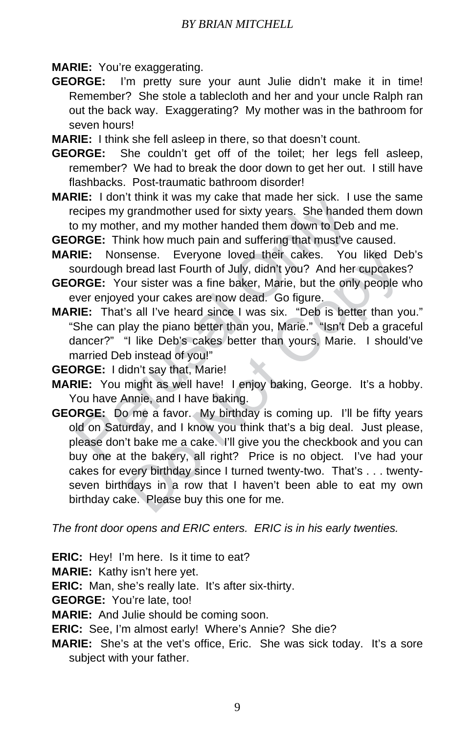**MARIE:** You're exaggerating.

**GEORGE:** I'm pretty sure your aunt Julie didn't make it in time! Remember? She stole a tablecloth and her and your uncle Ralph ran out the back way. Exaggerating? My mother was in the bathroom for seven hours!

**MARIE:** I think she fell asleep in there, so that doesn't count.

- **GEORGE:** She couldn't get off of the toilet; her legs fell asleep, remember? We had to break the door down to get her out. I still have flashbacks. Post-traumatic bathroom disorder!
- **MARIE:** I don't think it was my cake that made her sick. I use the same recipes my grandmother used for sixty years. She handed them down to my mother, and my mother handed them down to Deb and me.

**GEORGE:** Think how much pain and suffering that must've caused.

- **MARIE:** Nonsense. Everyone loved their cakes. You liked Deb's sourdough bread last Fourth of July, didn't you? And her cupcakes?
- **GEORGE:** Your sister was a fine baker, Marie, but the only people who ever enjoyed your cakes are now dead. Go figure.
- We compete that was iny care that induct it is acceled the solet. The end of my mother, and my mother handed them down to Deb only mother hands are alless. You ourdough bread last Fourth of July, didn't you? And her **REE: MARIE:** That's all I've heard since I was six. "Deb is better than you." "She can play the piano better than you, Marie." "Isn't Deb a graceful dancer?" "I like Deb's cakes better than yours, Marie. I should've married Deb instead of you!"
- **GEORGE:** I didn't say that, Marie!
- **MARIE:** You might as well have! I enjoy baking, George. It's a hobby. You have Annie, and I have baking.
- sense. Everyone loved their cakes. You liked De<br>bread last Fourth of July, didn't you? And her cupcakes<br>ur sister was a fine baker, Marie, but the only people v<br>ed your cakes are now dead. Go figure.<br>s all I've heard since **GEORGE:** Do me a favor. My birthday is coming up. I'll be fifty years old on Saturday, and I know you think that's a big deal. Just please, please don't bake me a cake. I'll give you the checkbook and you can buy one at the bakery, all right? Price is no object. I've had your cakes for every birthday since I turned twenty-two. That's . . . twentyseven birthdays in a row that I haven't been able to eat my own birthday cake. Please buy this one for me.

*The front door opens and ERIC enters. ERIC is in his early twenties.*

**ERIC:** Hey! I'm here. Is it time to eat?

**MARIE:** Kathy isn't here yet.

**ERIC:** Man, she's really late. It's after six-thirty.

**GEORGE:** You're late, too!

**MARIE:** And Julie should be coming soon.

**ERIC:** See, I'm almost early! Where's Annie? She die?

**MARIE:** She's at the vet's office, Eric. She was sick today. It's a sore subject with your father.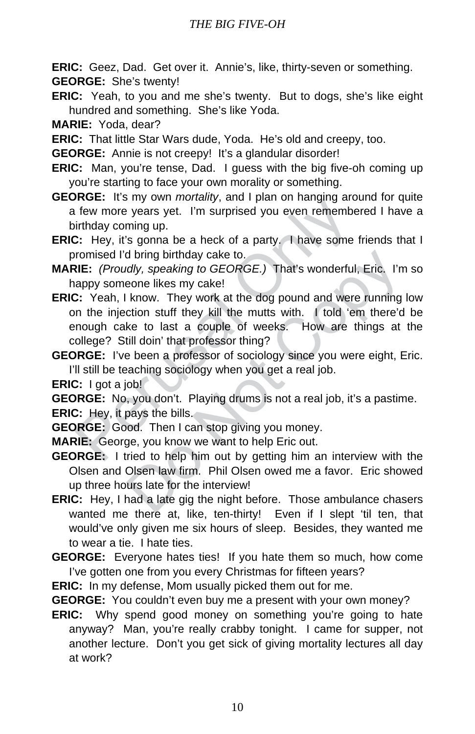**ERIC:** Geez, Dad. Get over it. Annie's, like, thirty-seven or something. **GEORGE:** She's twenty!

**ERIC:** Yeah, to you and me she's twenty. But to dogs, she's like eight hundred and something. She's like Yoda.

**MARIE:** Yoda, dear?

**ERIC:** That little Star Wars dude, Yoda. He's old and creepy, too.

**GEORGE:** Annie is not creepy! It's a glandular disorder!

- **ERIC:** Man, you're tense, Dad. I guess with the big five-oh coming up you're starting to face your own morality or something.
- **GEORGE:** It's my own *mortality*, and I plan on hanging around for quite a few more years yet. I'm surprised you even remembered I have a birthday coming up.

**ERIC:** Hey, it's gonna be a heck of a party. I have some friends that I promised I'd bring birthday cake to.

**MARIE:** *(Proudly, speaking to GEORGE.)* That's wonderful, Eric. I'm so happy someone likes my cake!

- Modelling commonlary, and Figure in Financyling and<br>irrival or events years yet. I'm surprised you even remembe<br>intrivaly coming up.<br>2: Hey, it's gonna be a heck of a party. I have some<br>normised I'd bring birthday cake to. d bring birthday cake to.<br>
Idly, speaking to GEORGE.) That's wonderful, Eric. I'm<br>
eone likes my cake!<br>
know. They work at the dog pound and were running<br>
ction stuff they kill the mutts with. I told 'em there'd<br>
ke to las **ERIC:** Yeah, I know. They work at the dog pound and were running low on the injection stuff they kill the mutts with. I told 'em there'd be enough cake to last a couple of weeks. How are things at the college? Still doin' that professor thing?
- **GEORGE:** I've been a professor of sociology since you were eight, Eric. I'll still be teaching sociology when you get a real job.

**ERIC:** I got a job!

**GEORGE:** No, you don't. Playing drums is not a real job, it's a pastime.

**ERIC:** Hey, it pays the bills.

**GEORGE:** Good. Then I can stop giving you money.

**MARIE:** George, you know we want to help Eric out.

- **GEORGE:** I tried to help him out by getting him an interview with the Olsen and Olsen law firm. Phil Olsen owed me a favor. Eric showed up three hours late for the interview!
- **ERIC:** Hey, I had a late gig the night before. Those ambulance chasers wanted me there at, like, ten-thirty! Even if I slept 'til ten, that would've only given me six hours of sleep. Besides, they wanted me to wear a tie. I hate ties.
- **GEORGE:** Everyone hates ties! If you hate them so much, how come I've gotten one from you every Christmas for fifteen years?

**ERIC:** In my defense, Mom usually picked them out for me.

**GEORGE:** You couldn't even buy me a present with your own money?

**ERIC:** Why spend good money on something you're going to hate anyway? Man, you're really crabby tonight. I came for supper, not another lecture. Don't you get sick of giving mortality lectures all day at work?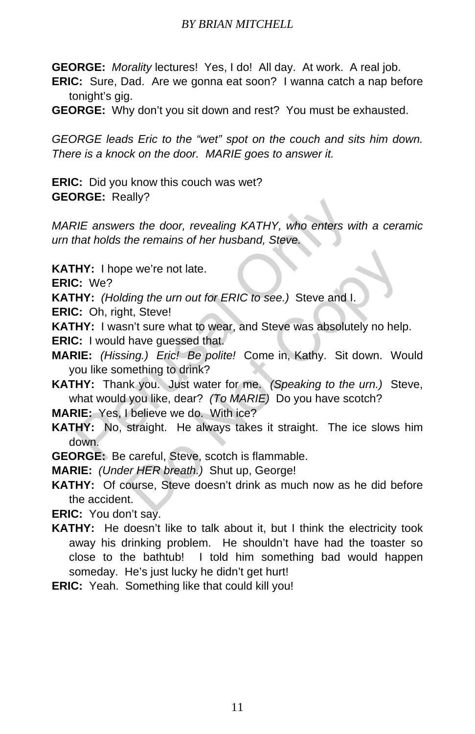**GEORGE:** *Morality* lectures! Yes, I do! All day. At work. A real job.

- **ERIC:** Sure, Dad. Are we gonna eat soon? I wanna catch a nap before tonight's gig.
- **GEORGE:** Why don't you sit down and rest? You must be exhausted.

*GEORGE leads Eric to the "wet" spot on the couch and sits him down. There is a knock on the door. MARIE goes to answer it.*

**ERIC:** Did you know this couch was wet? **GEORGE:** Really?

*MARIE answers the door, revealing KATHY, who enters with a ceramic urn that holds the remains of her husband, Steve.*

**KATHY:** I hope we're not late.

**ERIC:** We?

**KATHY:** *(Holding the urn out for ERIC to see.)* Steve and I.

**ERIC:** Oh, right, Steve!

**KATHY:** I wasn't sure what to wear, and Steve was absolutely no help.

**ERIC:** I would have guessed that.

- **MARIE:** *(Hissing.) Eric! Be polite!* Come in, Kathy. Sit down. Would you like something to drink?
- RIE answers the door, revealing KATHY, who enters with tholds the remains of her husband, Steve.<br>
HY: I hope we're not late.<br>
2: We?<br>
HY: (Holding the urn out for ERIC to see.) Steve and I.<br>
2: Oh, right, Steve!<br>
HY: I was **KATHY:** Thank you. Just water for me. *(Speaking to the urn.)* Steve, what would you like, dear? *(To MARIE)* Do you have scotch?

**MARIE:** Yes, I believe we do. With ice?

- **KATHY:** No, straight. He always takes it straight. The ice slows him down.
- **GEORGE:** Be careful, Steve, scotch is flammable.

**MARIE:** *(Under HER breath.)* Shut up, George!

e we're not late.<br> *ding the urn out for ERIC to see.*) Steve and I.<br>
th, Steve!<br>
sh't sure what to wear, and Steve was absolutely no help<br>
have guessed that.<br> *ing.) Eric! Be polite!* Come in, Kathy. Sit down. Wo<br>
mething **KATHY:** Of course, Steve doesn't drink as much now as he did before the accident.

**ERIC:** You don't say.

- **KATHY:** He doesn't like to talk about it, but I think the electricity took away his drinking problem. He shouldn't have had the toaster so close to the bathtub! I told him something bad would happen someday. He's just lucky he didn't get hurt!
- **ERIC:** Yeah. Something like that could kill you!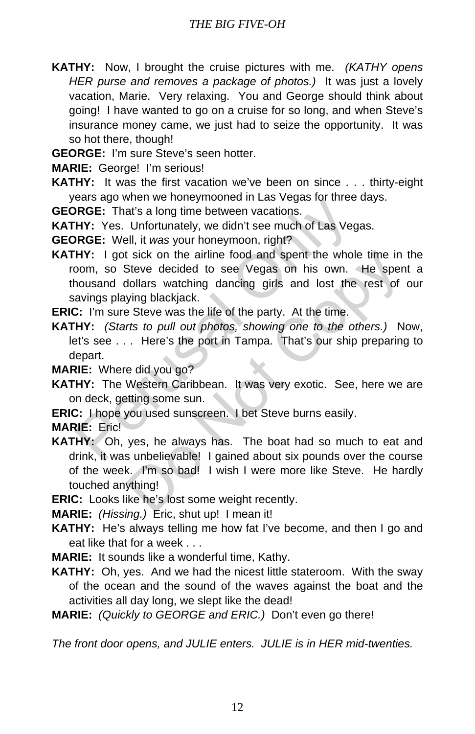**KATHY:** Now, I brought the cruise pictures with me. *(KATHY opens HER purse and removes a package of photos.)* It was just a lovely vacation, Marie. Very relaxing. You and George should think about going! I have wanted to go on a cruise for so long, and when Steve's insurance money came, we just had to seize the opportunity. It was so hot there, though!

**GEORGE:** I'm sure Steve's seen hotter.

**MARIE:** George! I'm serious!

**KATHY:** It was the first vacation we've been on since . . . thirty-eight years ago when we honeymooned in Las Vegas for three days.

**GEORGE:** That's a long time between vacations.

**KATHY:** Yes. Unfortunately, we didn't see much of Las Vegas.

**GEORGE:** Well, it *was* your honeymoon, right?

ERGE: That's a long time between vacations.<br> **PRGE:** That's a long time between vacations.<br> **HY:** Yes. Unfortunately, we didn't see much of Las Veg<br> **PRGE:** Well, it was your honeymoon, right?<br> **HY:** I got sick on the airl **KATHY:** I got sick on the airline food and spent the whole time in the room, so Steve decided to see Vegas on his own. He spent a thousand dollars watching dancing girls and lost the rest of our savings playing blackjack.

**ERIC:** I'm sure Steve was the life of the party. At the time.

**KATHY:** *(Starts to pull out photos, showing one to the others.)* Now, let's see . . . Here's the port in Tampa. That's our ship preparing to depart.

**MARIE:** Where did you go?

**KATHY:** The Western Caribbean. It was very exotic. See, here we are on deck, getting some sun.

**ERIC:** I hope you used sunscreen. I bet Steve burns easily.

**MARIE:** Eric!

It sick on the airline food and spent the whole time in<br>Steve decided to see Vegas on his own. He spen<br>bollars watching dancing girls and lost the rest of<br>ying blackjack.<br>Steve was the life of the party. At the time.<br>*Its* **KATHY:** Oh, yes, he always has. The boat had so much to eat and drink, it was unbelievable! I gained about six pounds over the course of the week. I'm so bad! I wish I were more like Steve. He hardly touched anything!

**ERIC:** Looks like he's lost some weight recently.

**MARIE:** *(Hissing.)* Eric, shut up! I mean it!

**KATHY:** He's always telling me how fat I've become, and then I go and eat like that for a week . . .

**MARIE:** It sounds like a wonderful time, Kathy.

**KATHY:** Oh, yes. And we had the nicest little stateroom. With the sway of the ocean and the sound of the waves against the boat and the activities all day long, we slept like the dead!

**MARIE:** *(Quickly to GEORGE and ERIC.)* Don't even go there!

*The front door opens, and JULIE enters. JULIE is in HER mid-twenties.*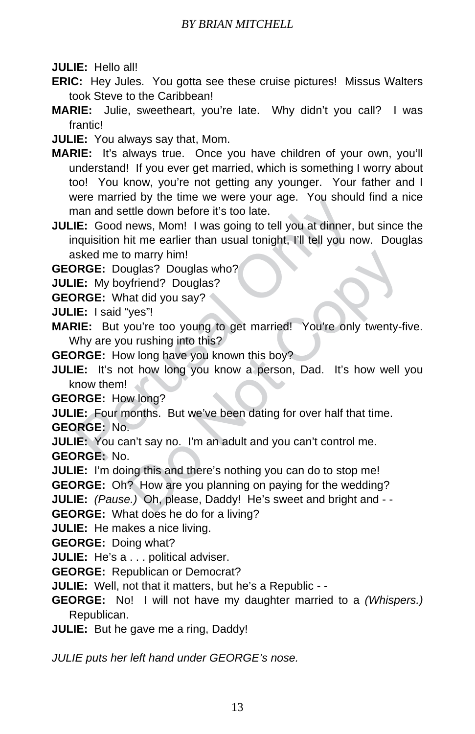**JULIE:** Hello all!

- **ERIC:** Hey Jules. You gotta see these cruise pictures! Missus Walters took Steve to the Caribbean!
- **MARIE:** Julie, sweetheart, you're late. Why didn't you call? I was frantic!

**JULIE:** You always say that, Mom.

- **MARIE:** It's always true. Once you have children of your own, you'll understand! If you ever get married, which is something I worry about too! You know, you're not getting any younger. Your father and I were married by the time we were your age. You should find a nice man and settle down before it's too late.
- Free Mannet and Settle down before it's too late.<br>
The God news, Mom! I was going to tell you at dinner,<br>
requisition hit me earlier than usual tonight, I'll tell you no<br>
sked me to marry him!<br>
Sked: Douglas? Douglas who?<br> **JULIE:** Good news, Mom! I was going to tell you at dinner, but since the inquisition hit me earlier than usual tonight, I'll tell you now. Douglas asked me to marry him!

**GEORGE:** Douglas? Douglas who?

**JULIE:** My boyfriend? Douglas?

**GEORGE:** What did you say?

**JULIE:** I said "yes"!

**MARIE:** But you're too young to get married! You're only twenty-five. Why are you rushing into this?

**GEORGE:** How long have you known this boy?

o marry him!<br>
uglas? Douglas who?<br>
yfriend? Douglas?<br>
"yes"!<br>
you're too young to get married! You're only twenty-fi<br>
u rushing into this?<br>
w long have you known this boy?<br>
of how long you know a person, Dad. It's how well **JULIE:** It's not how long you know a person, Dad. It's how well you know them!

**GEORGE:** How long?

**JULIE:** Four months. But we've been dating for over half that time.

**GEORGE:** No.

**JULIE:** You can't say no. I'm an adult and you can't control me. **GEORGE:** No.

**JULIE:** I'm doing this and there's nothing you can do to stop me!

**GEORGE:** Oh? How are you planning on paying for the wedding?

**JULIE:** *(Pause.)* Oh, please, Daddy! He's sweet and bright and - -

**GEORGE:** What does he do for a living?

**JULIE:** He makes a nice living.

**GEORGE:** Doing what?

**JULIE:** He's a . . . political adviser.

**GEORGE:** Republican or Democrat?

**JULIE:** Well, not that it matters, but he's a Republic - -

**GEORGE:** No! I will not have my daughter married to a *(Whispers.)* Republican.

**JULIE:** But he gave me a ring, Daddy!

*JULIE puts her left hand under GEORGE's nose.*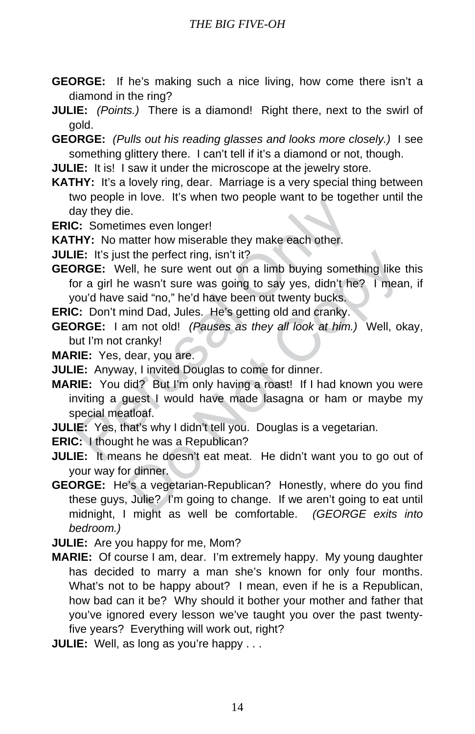**GEORGE:** If he's making such a nice living, how come there isn't a diamond in the ring?

**JULIE:** *(Points.)* There is a diamond! Right there, next to the swirl of gold.

- **GEORGE:** *(Pulls out his reading glasses and looks more closely.)* I see something glittery there. I can't tell if it's a diamond or not, though.
- **JULIE:** It is! I saw it under the microscope at the jewelry store.
- **KATHY:** It's a lovely ring, dear. Marriage is a very special thing between two people in love. It's when two people want to be together until the day they die.
- **ERIC:** Sometimes even longer!
- **KATHY:** No matter how miserable they make each other.
- **JULIE:** It's just the perfect ring, isn't it?
- In the better and the better and the wis-<br>
The content of the best of the wis-<br>
HY: Sometimes even longer!<br>
HY: No matter how miserable they make each other.<br>
IE: It's just the perfect ring, isn't it?<br>
IF: It's just the pe is the perfect ring, isn't it?<br>
ell, he sure went out on a limb buying something like to wasn't sure was going to say yes, didn't he? I mear<br>
said "no," he'd have been out twenty bucks.<br>
hind Dad, Jules. He's getting old a **GEORGE:** Well, he sure went out on a limb buying something like this for a girl he wasn't sure was going to say yes, didn't he? I mean, if you'd have said "no," he'd have been out twenty bucks.
- **ERIC:** Don't mind Dad, Jules. He's getting old and cranky.
- **GEORGE:** I am not old! *(Pauses as they all look at him.)* Well, okay, but I'm not cranky!
- **MARIE:** Yes, dear, you are.
- **JULIE:** Anyway, I invited Douglas to come for dinner.
- **MARIE:** You did? But I'm only having a roast! If I had known you were inviting a guest I would have made lasagna or ham or maybe my special meatloaf.
- **JULIE:** Yes, that's why I didn't tell you. Douglas is a vegetarian.
- **ERIC:** I thought he was a Republican?
- **JULIE:** It means he doesn't eat meat. He didn't want you to go out of your way for dinner.
- **GEORGE:** He's a vegetarian-Republican? Honestly, where do you find these guys, Julie? I'm going to change. If we aren't going to eat until midnight, I might as well be comfortable. *(GEORGE exits into bedroom.)*
- **JULIE:** Are you happy for me, Mom?
- **MARIE:** Of course I am, dear. I'm extremely happy. My young daughter has decided to marry a man she's known for only four months. What's not to be happy about? I mean, even if he is a Republican, how bad can it be? Why should it bother your mother and father that you've ignored every lesson we've taught you over the past twentyfive years? Everything will work out, right?
- **JULIE:** Well, as long as you're happy . . .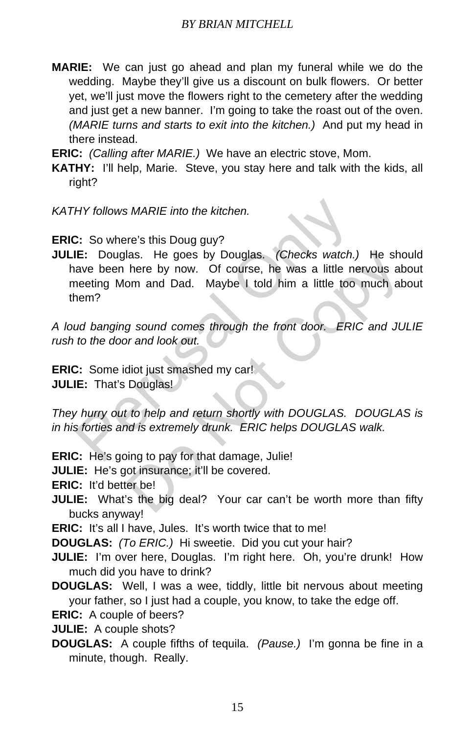**MARIE:** We can just go ahead and plan my funeral while we do the wedding. Maybe they'll give us a discount on bulk flowers. Or better yet, we'll just move the flowers right to the cemetery after the wedding and just get a new banner. I'm going to take the roast out of the oven. *(MARIE turns and starts to exit into the kitchen.)* And put my head in there instead.

**ERIC:** *(Calling after MARIE.)* We have an electric stove, Mom.

- **KATHY:** I'll help, Marie. Steve, you stay here and talk with the kids, all right?
- *KATHY follows MARIE into the kitchen.*

**ERIC:** So where's this Doug guy?

HY follows MARIE into the kitchen.<br>
2: So where's this Doug guy?<br>
IE: Douglas. He goes by Douglas. (Checks watch.)<br>
ave been here by now. Of course, he was a little needing Mom and Dad. Maybe I told him a little too<br>
neeri las. He goes by Douglas. *(Checks watch.)* He show here by now. Of course, he was a little nervous abom and Dad. Maybe I told him a little too much abom and Dad. Maybe I told him a little too much abom and look out.<br>By sou **JULIE:** Douglas. He goes by Douglas. *(Checks watch.)* He should have been here by now. Of course, he was a little nervous about meeting Mom and Dad. Maybe I told him a little too much about them?

*A loud banging sound comes through the front door. ERIC and JULIE rush to the door and look out.*

**ERIC:** Some idiot just smashed my car! **JULIE:** That's Douglas!

*They hurry out to help and return shortly with DOUGLAS. DOUGLAS is in his forties and is extremely drunk. ERIC helps DOUGLAS walk.*

**ERIC:** He's going to pay for that damage, Julie!

**JULIE:** He's got insurance; it'll be covered.

**ERIC:** It'd better be!

**JULIE:** What's the big deal? Your car can't be worth more than fifty bucks anyway!

**ERIC:** It's all I have, Jules. It's worth twice that to me!

**DOUGLAS:** *(To ERIC.)* Hi sweetie. Did you cut your hair?

- **JULIE:** I'm over here, Douglas. I'm right here. Oh, you're drunk! How much did you have to drink?
- **DOUGLAS:** Well, I was a wee, tiddly, little bit nervous about meeting your father, so I just had a couple, you know, to take the edge off.

**ERIC:** A couple of beers?

**JULIE:** A couple shots?

**DOUGLAS:** A couple fifths of tequila. *(Pause.)* I'm gonna be fine in a minute, though. Really.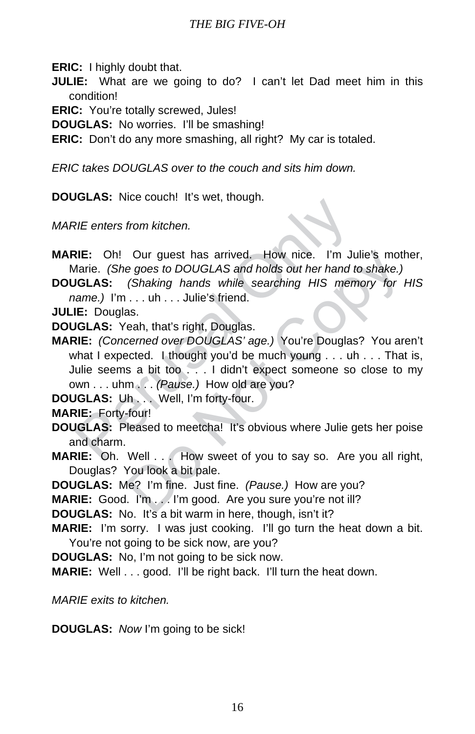**ERIC:** I highly doubt that.

**JULIE:** What are we going to do? I can't let Dad meet him in this condition!

**ERIC:** You're totally screwed, Jules!

**DOUGLAS:** No worries. I'll be smashing!

**ERIC:** Don't do any more smashing, all right? My car is totaled.

*ERIC takes DOUGLAS over to the couch and sits him down.*

**DOUGLAS:** Nice couch! It's wet, though.

*MARIE enters from kitchen.*

- **MARIE:** Oh! Our guest has arrived. How nice. I'm Julie's mother, Marie. *(She goes to DOUGLAS and holds out her hand to shake.)*
- **DOUGLAS:** *(Shaking hands while searching HIS memory for HIS name.)* I'm . . . uh . . . Julie's friend.

**JULIE:** Douglas.

**DOUGLAS:** Yeah, that's right, Douglas.

RIE enters from kitchen.<br>
RIE: Oh! Our guest has arrived. How nice. I'm Ju<br>
Marie. (She goes to DOUGLAS and holds out her hand to<br> **IGLAS:** (Shaking hands while searching HIS mem<br>
name.) I'm ... uh ... Julie's friend.<br> **IE** Our guest has arrived. How nice. I'm Julie's mother goes to DOUGLAS and holds out her hand to shake.) (Shaking hands while searching HIS memory for  $1 \ldots$  uh... Julie's friend.<br>ss. eah, that's right, Douglas.<br>as. eah, tha **MARIE:** *(Concerned over DOUGLAS' age.)* You're Douglas? You aren't what I expected. I thought you'd be much young . . . uh . . . That is, Julie seems a bit too . . . I didn't expect someone so close to my own . . . uhm . . . *(Pause.)* How old are you?

**DOUGLAS:** Uh . . . Well, I'm forty-four.

**MARIE:** Forty-four!

- **DOUGLAS:** Pleased to meetcha! It's obvious where Julie gets her poise and charm.
- **MARIE:** Oh. Well . . . How sweet of you to say so. Are you all right, Douglas? You look a bit pale.

**DOUGLAS:** Me? I'm fine. Just fine. *(Pause.)* How are you?

**MARIE:** Good. I'm . . . I'm good. Are you sure you're not ill?

**DOUGLAS:** No. It's a bit warm in here, though, isn't it?

**MARIE:** I'm sorry. I was just cooking. I'll go turn the heat down a bit. You're not going to be sick now, are you?

**DOUGLAS:** No, I'm not going to be sick now.

**MARIE:** Well . . . good. I'll be right back. I'll turn the heat down.

*MARIE exits to kitchen.*

**DOUGLAS:** *Now* I'm going to be sick!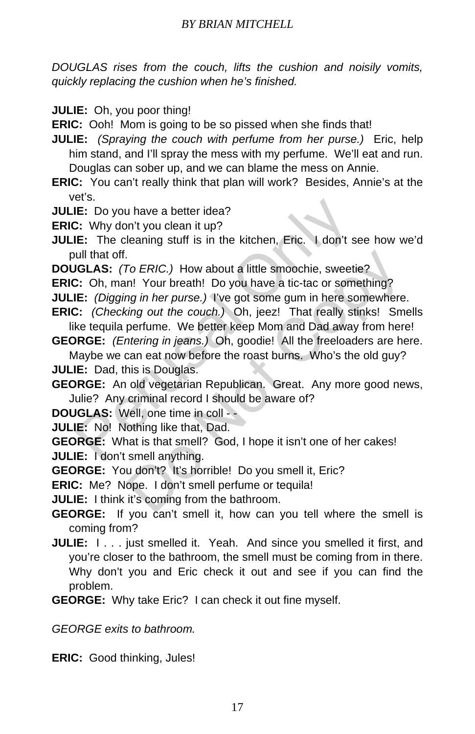*DOUGLAS rises from the couch, lifts the cushion and noisily vomits, quickly replacing the cushion when he's finished.*

**JULIE:** Oh, you poor thing!

**ERIC:** Ooh! Mom is going to be so pissed when she finds that!

**JULIE:** *(Spraying the couch with perfume from her purse.)* Eric, help him stand, and I'll spray the mess with my perfume. We'll eat and run. Douglas can sober up, and we can blame the mess on Annie.

**ERIC:** You can't really think that plan will work? Besides, Annie's at the vet's.

**JULIE:** Do you have a better idea?

**ERIC:** Why don't you clean it up?

E: Do you have a better idea?<br>
IE: Do you have a better idea?<br>
IE: Do you have a better idea?<br>
IE: The cleaning stuff is in the kitchen, Eric. I don't si<br>
ull that off.<br>
IGLAS: (*To ERIC.)* How about a little smoochie, swe **JULIE:** The cleaning stuff is in the kitchen, Eric. I don't see how we'd pull that off.

**DOUGLAS:** *(To ERIC.)* How about a little smoochie, sweetie?

**ERIC:** Oh, man! Your breath! Do you have a tic-tac or something?

**JULIE:** *(Digging in her purse.)* I've got some gum in here somewhere.

**ERIC:** *(Checking out the couch.)* Oh, jeez! That really stinks! Smells like tequila perfume. We better keep Mom and Dad away from here!

**GEORGE:** *(Entering in jeans.)* Oh, goodie! All the freeloaders are here.

Maybe we can eat now before the roast burns. Who's the old guy? **JULIE:** Dad, this is Douglas.

**GEORGE:** An old vegetarian Republican. Great. Any more good news, Julie? Any criminal record I should be aware of?

**DOUGLAS:** Well, one time in coll - -

**JULIE:** No! Nothing like that, Dad.

To ERIC.) How about a little smoochie, sweetie?<br>
In! Your breath! Do you have a tic-tac or something?<br>
In Pour breath! Do you have a tic-tac or something?<br>
Signal in the couch.) Oh, jeez! That really stinks! Sm<br>
perfume. W **GEORGE:** What is that smell? God, I hope it isn't one of her cakes! **JULIE:** I don't smell anything.

**GEORGE:** You don't? It's horrible! Do you smell it, Eric?

**ERIC:** Me? Nope. I don't smell perfume or tequila!

**JULIE:** I think it's coming from the bathroom.

**GEORGE:** If you can't smell it, how can you tell where the smell is coming from?

**JULIE:**  $I \ldots$  just smelled it. Yeah. And since you smelled it first, and you're closer to the bathroom, the smell must be coming from in there. Why don't you and Eric check it out and see if you can find the problem.

**GEORGE:** Why take Eric? I can check it out fine myself.

*GEORGE exits to bathroom.*

**ERIC:** Good thinking, Jules!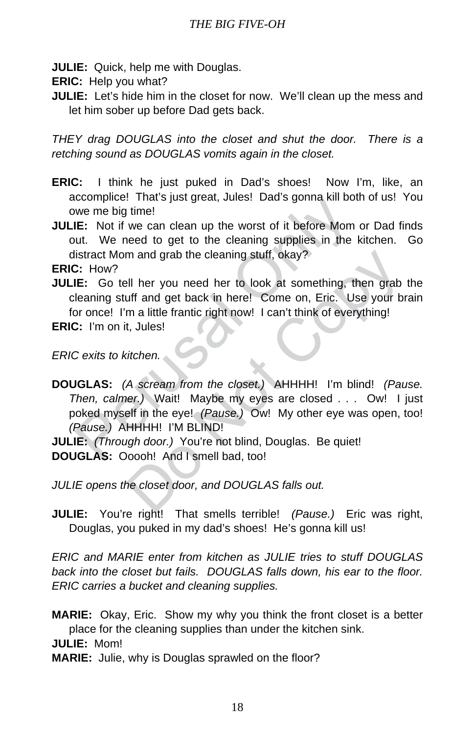**JULIE:** Quick, help me with Douglas.

**ERIC:** Help you what?

**JULIE:** Let's hide him in the closet for now. We'll clean up the mess and let him sober up before Dad gets back.

*THEY drag DOUGLAS into the closet and shut the door. There is a retching sound as DOUGLAS vomits again in the closet.*

- **ERIC:** I think he just puked in Dad's shoes! Now I'm, like, an accomplice! That's just great, Jules! Dad's gonna kill both of us! You owe me big time!
- **JULIE:** Not if we can clean up the worst of it before Mom or Dad finds out. We need to get to the cleaning supplies in the kitchen. Go distract Mom and grab the cleaning stuff, okay?

**ERIC:** How?

**JULIE:** Go tell her you need her to look at something, then grab the cleaning stuff and get back in here! Come on, Eric. Use your brain for once! I'm a little frantic right now! I can't think of everything!

**ERIC:** I'm on it, Jules!

*ERIC exits to kitchen.*

incern the big time!<br>
We me big time!<br>
We me big time!<br>
We meed to get to the cleaning supplies in the list<br>
incert Mom and grab the cleaning stuff, okay?<br>
Consist act Mom and grab the cleaning stuff, okay?<br>
Consistent Mom m and grab the cleaning stuff, okay?<br>
Ill her you need her to look at something, then grab<br>
uff and get back in here! Come on, Eric. Use your br<br>
m a little frantic right now! I can't think of everything!<br>
t, Jules!<br>
tiche **DOUGLAS:** *(A scream from the closet.)* AHHHH! I'm blind! *(Pause. Then, calmer.)* Wait! Maybe my eyes are closed . . . Ow! I just poked myself in the eye! *(Pause.)* Ow! My other eye was open, too! *(Pause.)* AHHHH! I'M BLIND!

**JULIE:** *(Through door.)* You're not blind, Douglas. Be quiet! **DOUGLAS:** Ooooh! And I smell bad, too!

*JULIE opens the closet door, and DOUGLAS falls out.*

**JULIE:** You're right! That smells terrible! *(Pause.)* Eric was right, Douglas, you puked in my dad's shoes! He's gonna kill us!

*ERIC and MARIE enter from kitchen as JULIE tries to stuff DOUGLAS back into the closet but fails. DOUGLAS falls down, his ear to the floor. ERIC carries a bucket and cleaning supplies.*

**MARIE:** Okay, Eric. Show my why you think the front closet is a better place for the cleaning supplies than under the kitchen sink. **JULIE:** Mom!

**MARIE:** Julie, why is Douglas sprawled on the floor?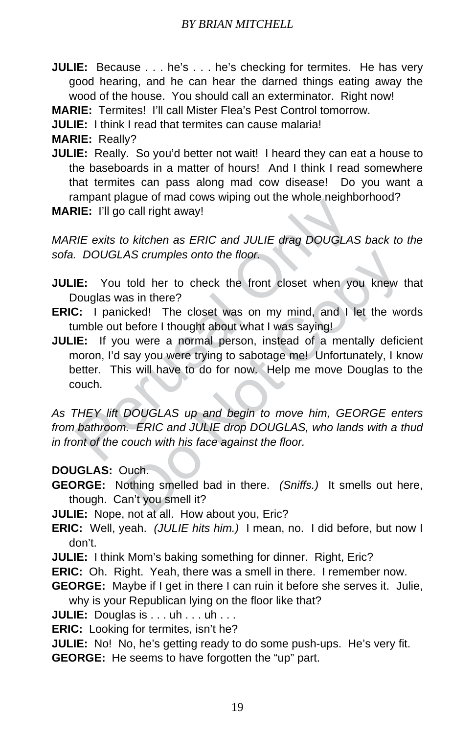**JULIE:** Because . . . he's . . . he's checking for termites. He has very good hearing, and he can hear the darned things eating away the wood of the house. You should call an exterminator. Right now!

**MARIE:** Termites! I'll call Mister Flea's Pest Control tomorrow.

**JULIE:** I think I read that termites can cause malaria!

**MARIE:** Really?

- **JULIE:** Really. So you'd better not wait! I heard they can eat a house to the baseboards in a matter of hours! And I think I read somewhere that termites can pass along mad cow disease! Do you want a rampant plague of mad cows wiping out the whole neighborhood?
- **MARIE:** I'll go call right away!

*MARIE exits to kitchen as ERIC and JULIE drag DOUGLAS back to the sofa. DOUGLAS crumples onto the floor.*

- **JULIE:** You told her to check the front closet when you knew that Douglas was in there?
- **ERIC:** I panicked! The closet was on my mind, and I let the words tumble out before I thought about what I was saying!
- NE: I'll go call right away!<br>NE: I'll go call right away!<br>NE: I'll go call right away!<br>NE exits to kitchen as ERIC and JULIE drag DOUGLAS.<br>DOUGLAS crumples onto the floor.<br>NE: You told her to check the front closet when yo AS crumples onto the floor.<br>
told her to check the front closet when you knew t<br>
as in there?<br>
cked! The closet was on my mind, and I let the wo<br>
before I thought about what I was saying!<br>
i were a normal person, instead o **JULIE:** If you were a normal person, instead of a mentally deficient moron, I'd say you were trying to sabotage me! Unfortunately, I know better. This will have to do for now. Help me move Douglas to the couch.

*As THEY lift DOUGLAS up and begin to move him, GEORGE enters from bathroom. ERIC and JULIE drop DOUGLAS, who lands with a thud in front of the couch with his face against the floor.*

**DOUGLAS:** Ouch.

**GEORGE:** Nothing smelled bad in there. *(Sniffs.)* It smells out here, though. Can't you smell it?

**JULIE:** Nope, not at all. How about you, Eric?

- **ERIC:** Well, yeah. *(JULIE hits him.)* I mean, no. I did before, but now I don't.
- **JULIE:** I think Mom's baking something for dinner. Right, Eric?
- **ERIC:** Oh. Right. Yeah, there was a smell in there. I remember now.
- **GEORGE:** Maybe if I get in there I can ruin it before she serves it. Julie, why is your Republican lying on the floor like that?
- **JULIE:** Douglas is . . . uh . . . uh . . .

**ERIC:** Looking for termites, isn't he?

**JULIE:** No! No, he's getting ready to do some push-ups. He's very fit. **GEORGE:** He seems to have forgotten the "up" part.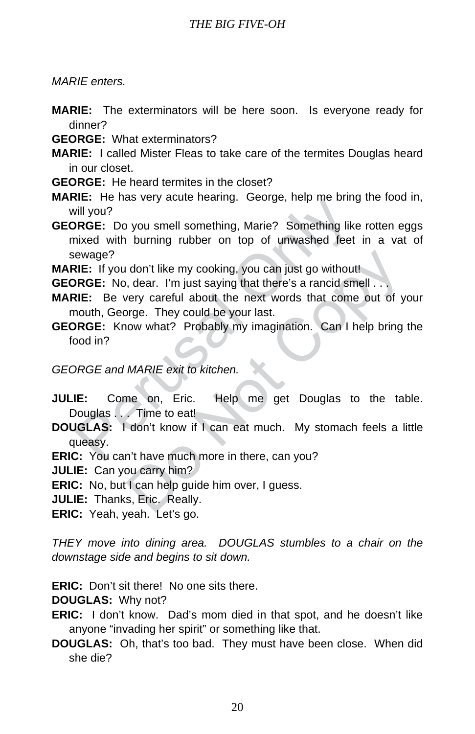*MARIE enters.*

- **MARIE:** The exterminators will be here soon. Is everyone ready for dinner?
- **GEORGE:** What exterminators?
- **MARIE:** I called Mister Fleas to take care of the termites Douglas heard in our closet.
- **GEORGE:** He heard termites in the closet?
- **MARIE:** He has very acute hearing. George, help me bring the food in, will you?
- We Chaster and Sectionary. Coolige, help the bink<br>
ill you?<br>
In SRGE: Do you smell something, Marie? Something like<br>
in value of the burning rubber on top of unwashed feet<br>
RIC: If you don't like my cooking, you can just g **GEORGE:** Do you smell something, Marie? Something like rotten eggs mixed with burning rubber on top of unwashed feet in a vat of sewage?
- **MARIE:** If you don't like my cooking, you can just go without!
- **GEORGE:** No, dear. I'm just saying that there's a rancid smell . . .
- don't like my cooking, you can just go without!<br>
, dear. I'm just saying that there's a rancid smell...<br>
very careful about the next words that come out of y<br>
orge. They could be your last.<br>
Now what? Probably my imaginati **MARIE:** Be very careful about the next words that come out of your mouth, George. They could be your last.
- **GEORGE:** Know what? Probably my imagination. Can I help bring the food in?

#### *GEORGE and MARIE exit to kitchen.*

- **JULIE:** Come on, Eric. Help me get Douglas to the table. Douglas . . . Time to eat!
- **DOUGLAS:** I don't know if I can eat much. My stomach feels a little queasy.
- **ERIC:** You can't have much more in there, can you?

**JULIE:** Can you carry him?

**ERIC:** No, but I can help guide him over, I guess.

**JULIE:** Thanks, Eric. Really.

**ERIC:** Yeah, yeah. Let's go.

*THEY move into dining area. DOUGLAS stumbles to a chair on the downstage side and begins to sit down.*

**ERIC:** Don't sit there! No one sits there.

**DOUGLAS:** Why not?

**ERIC:** I don't know. Dad's mom died in that spot, and he doesn't like anyone "invading her spirit" or something like that.

#### **DOUGLAS:** Oh, that's too bad. They must have been close. When did she die?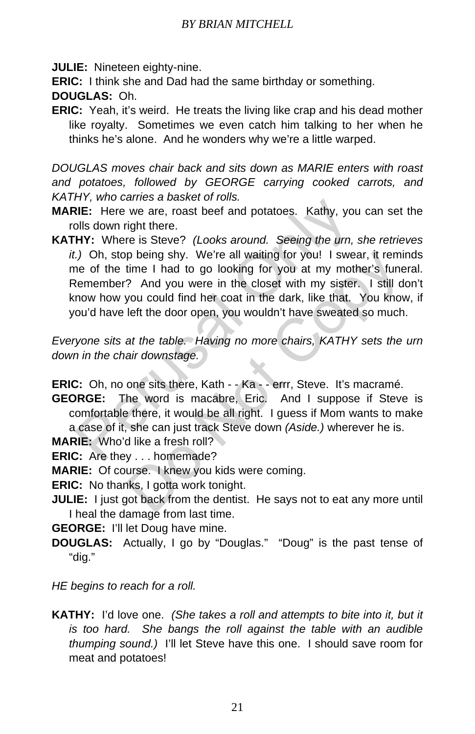**JULIE:** Nineteen eighty-nine.

**ERIC:** I think she and Dad had the same birthday or something.

**DOUGLAS:** Oh.

**ERIC:** Yeah, it's weird. He treats the living like crap and his dead mother like royalty. Sometimes we even catch him talking to her when he thinks he's alone. And he wonders why we're a little warped.

*DOUGLAS moves chair back and sits down as MARIE enters with roast and potatoes, followed by GEORGE carrying cooked carrots, and KATHY, who carries a basket of rolls.*

- **MARIE:** Here we are, roast beef and potatoes. Kathy, you can set the rolls down right there.
- First, who cannot there.<br>
NIE: Here we are, roast beef and potatoes. Kathy, youls down right there.<br>
HY: Where is Steve? (Looks around. Seeing the urn,<br>
HY: Where is Steve? (Looks around. Seeing the urn,<br>
t.) Oh, stop bei p being shy. We're all waiting for you! I swear, it remit<br>time I had to go looking for you at my mother's fune<br>? And you were in the closet with my sister. I still do<br>you could find her coat in the dark, like that. You kno **KATHY:** Where is Steve? *(Looks around. Seeing the urn, she retrieves it.)* Oh, stop being shy. We're all waiting for you! I swear, it reminds me of the time I had to go looking for you at my mother's funeral. Remember? And you were in the closet with my sister. I still don't know how you could find her coat in the dark, like that. You know, if you'd have left the door open, you wouldn't have sweated so much.

*Everyone sits at the table. Having no more chairs, KATHY sets the urn down in the chair downstage.*

**ERIC:** Oh, no one sits there, Kath - - Ka - - errr, Steve. It's macramé.

**GEORGE:** The word is macabre, Eric. And I suppose if Steve is comfortable there, it would be all right. I guess if Mom wants to make a case of it, she can just track Steve down *(Aside.)* wherever he is.

**MARIE:** Who'd like a fresh roll?

**ERIC:** Are they . . . homemade?

**MARIE:** Of course. I knew you kids were coming.

**ERIC:** No thanks, I gotta work tonight.

**JULIE:** I just got back from the dentist. He says not to eat any more until I heal the damage from last time.

**GEORGE:** I'll let Doug have mine.

**DOUGLAS:** Actually, I go by "Douglas." "Doug" is the past tense of "dig."

*HE begins to reach for a roll.*

**KATHY:** I'd love one. *(She takes a roll and attempts to bite into it, but it is too hard. She bangs the roll against the table with an audible thumping sound.)* I'll let Steve have this one. I should save room for meat and potatoes!